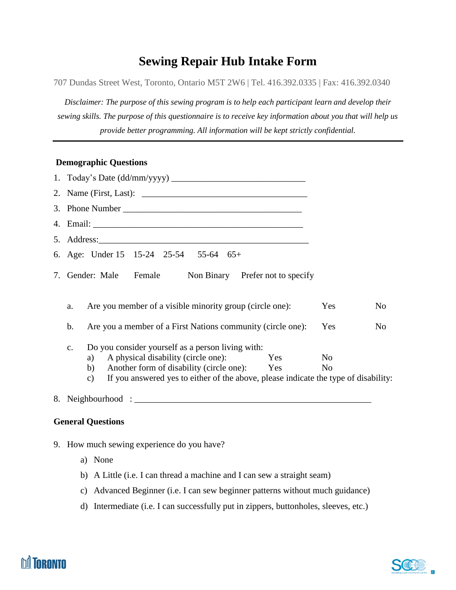## **Sewing Repair Hub Intake Form**

707 Dundas Street West, Toronto, Ontario M5T 2W6 | Tel. 416.392.0335 | Fax: 416.392.0340

*Disclaimer: The purpose of this sewing program is to help each participant learn and develop their sewing skills. The purpose of this questionnaire is to receive key information about you that will help us provide better programming. All information will be kept strictly confidential.*

## **Demographic Questions**

| 3. Phone Number                                                                                                                                                           |                                  |    |
|---------------------------------------------------------------------------------------------------------------------------------------------------------------------------|----------------------------------|----|
|                                                                                                                                                                           |                                  |    |
|                                                                                                                                                                           |                                  |    |
| 6. Age: Under 15 15-24 25-54 55-64 65+                                                                                                                                    |                                  |    |
| 7. Gender: Male Female Non Binary Prefer not to specify                                                                                                                   |                                  |    |
| Are you member of a visible minority group (circle one):<br>a.                                                                                                            | Yes                              | No |
| Are you a member of a First Nations community (circle one):<br>b.                                                                                                         | Yes                              | No |
| Do you consider yourself as a person living with:<br>$C_{\bullet}$<br>A physical disability (circle one): Yes<br>a)<br>Another form of disability (circle one): Yes<br>b) | N <sub>0</sub><br>N <sub>0</sub> |    |
| If you answered yes to either of the above, please indicate the type of disability:<br>c)                                                                                 |                                  |    |
|                                                                                                                                                                           |                                  |    |

## **General Questions**

- 9. How much sewing experience do you have?
	- a) None
	- b) A Little (i.e. I can thread a machine and I can sew a straight seam)
	- c) Advanced Beginner (i.e. I can sew beginner patterns without much guidance)
	- d) Intermediate (i.e. I can successfully put in zippers, buttonholes, sleeves, etc.)